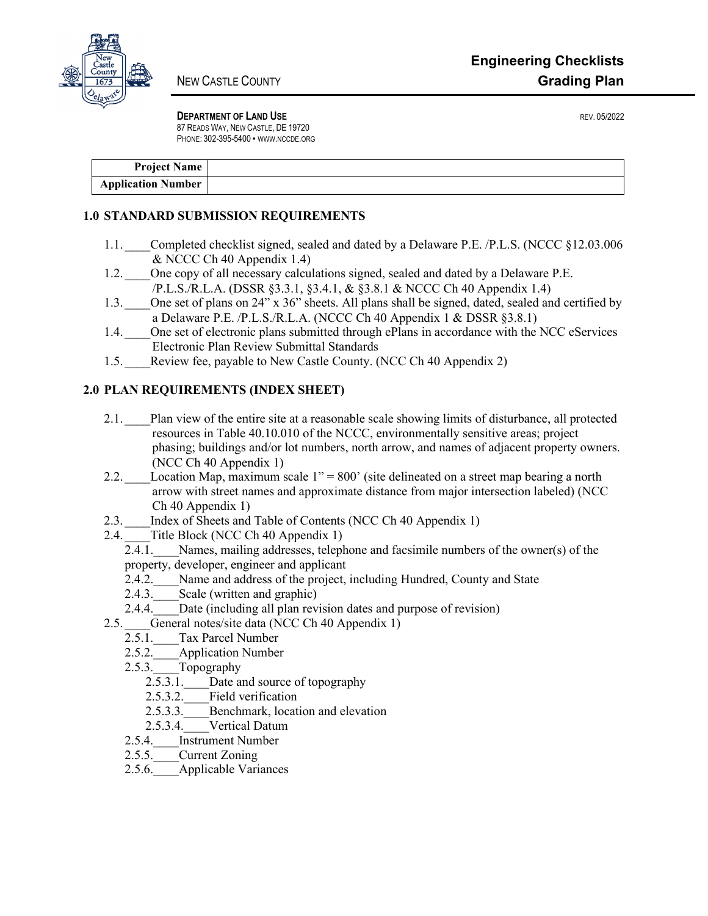

**DEPARTMENT OF LAND USE REV. 05/2022** 87 READS WAY, NEW CASTLE, DE 19720 PHONE: 302-395-5400 • WWW.NCCDE.ORG

| <b>Project Name</b>       |  |
|---------------------------|--|
| <b>Application Number</b> |  |

## **1.0 STANDARD SUBMISSION REQUIREMENTS**

- 1.1. Completed checklist signed, sealed and dated by a Delaware P.E. /P.L.S. (NCCC §12.03.006 & NCCC Ch 40 Appendix 1.4)
- 1.2. One copy of all necessary calculations signed, sealed and dated by a Delaware P.E. /P.L.S./R.L.A. (DSSR §3.3.1, §3.4.1, & §3.8.1 & NCCC Ch 40 Appendix 1.4)
- 1.3. One set of plans on 24" x 36" sheets. All plans shall be signed, dated, sealed and certified by a Delaware P.E. /P.L.S./R.L.A. (NCCC Ch 40 Appendix 1 & DSSR §3.8.1)
- 1.4. One set of electronic plans submitted through ePlans in accordance with the NCC eServices Electronic Plan Review Submittal Standards
- 1.5. Review fee, payable to New Castle County. (NCC Ch 40 Appendix 2)

## **2.0 PLAN REQUIREMENTS (INDEX SHEET)**

- 2.1. Plan view of the entire site at a reasonable scale showing limits of disturbance, all protected resources in Table 40.10.010 of the NCCC, environmentally sensitive areas; project phasing; buildings and/or lot numbers, north arrow, and names of adjacent property owners. (NCC Ch 40 Appendix 1)
- 2.2. Location Map, maximum scale  $1" = 800'$  (site delineated on a street map bearing a north arrow with street names and approximate distance from major intersection labeled) (NCC Ch 40 Appendix 1)
- 2.3. Index of Sheets and Table of Contents (NCC Ch 40 Appendix 1)
- 2.4.  $\frac{1}{2.4.1}$  Title Block (NCC Ch 40 Appendix 1)<br>2.4.1. Names, mailing addresses, teleph
	- Names, mailing addresses, telephone and facsimile numbers of the owner(s) of the property, developer, engineer and applicant
		- 2.4.2. Name and address of the project, including Hundred, County and State
		- 2.4.3. Scale (written and graphic)
	- 2.4.4. Date (including all plan revision dates and purpose of revision)
- 2.5. General notes/site data (NCC Ch 40 Appendix 1)
	- 2.5.1. Tax Parcel Number
	- 2.5.2. Application Number
	- 2.5.3. Topography
		- 2.5.3.1. Date and source of topography
		- 2.5.3.2. Field verification
		- 2.5.3.3. Benchmark, location and elevation
		- 2.5.3.4. Vertical Datum
	- 2.5.4. Instrument Number
	- 2.5.5. Current Zoning
	- 2.5.6. Applicable Variances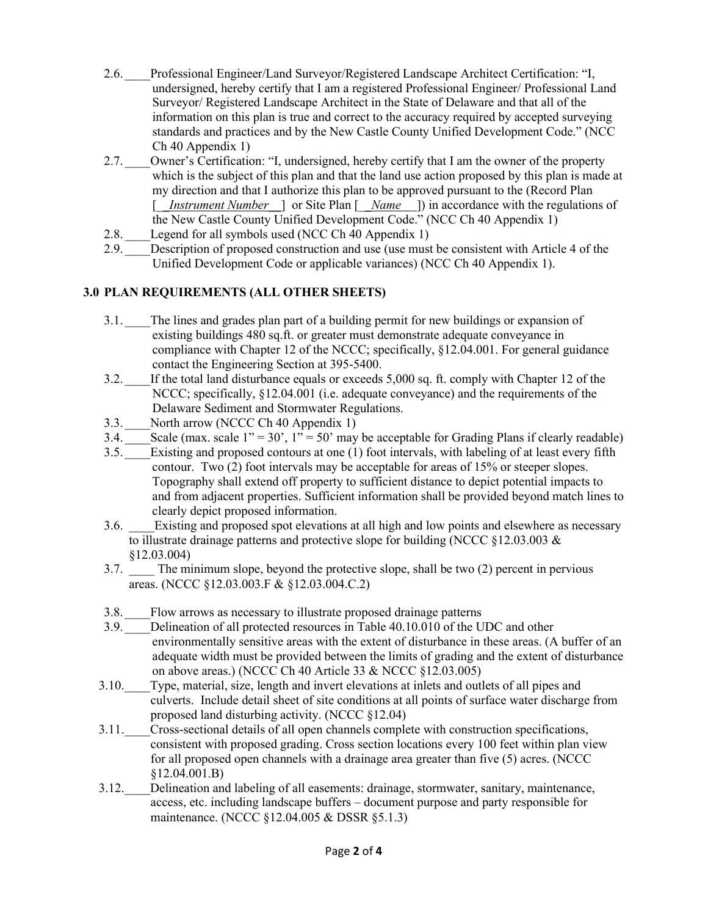- 2.6. \_\_\_\_Professional Engineer/Land Surveyor/Registered Landscape Architect Certification: "I, undersigned, hereby certify that I am a registered Professional Engineer/ Professional Land Surveyor/ Registered Landscape Architect in the State of Delaware and that all of the information on this plan is true and correct to the accuracy required by accepted surveying standards and practices and by the New Castle County Unified Development Code." (NCC Ch 40 Appendix 1)
- 2.7. Owner's Certification: "I, undersigned, hereby certify that I am the owner of the property which is the subject of this plan and that the land use action proposed by this plan is made at my direction and that I authorize this plan to be approved pursuant to the (Record Plan [*\_\_Instrument Number\_\_*] or Site Plan [*\_\_Name* ]) in accordance with the regulations of the New Castle County Unified Development Code." (NCC Ch 40 Appendix 1)
- 2.8. Legend for all symbols used (NCC Ch 40 Appendix 1)
- 2.9. Description of proposed construction and use (use must be consistent with Article 4 of the Unified Development Code or applicable variances) (NCC Ch 40 Appendix 1).

## **3.0 PLAN REQUIREMENTS (ALL OTHER SHEETS)**

- 3.1. The lines and grades plan part of a building permit for new buildings or expansion of existing buildings 480 sq.ft. or greater must demonstrate adequate conveyance in compliance with Chapter 12 of the NCCC; specifically, §12.04.001. For general guidance contact the Engineering Section at 395-5400.
- 3.2. \_\_\_\_If the total land disturbance equals or exceeds 5,000 sq. ft. comply with Chapter 12 of the NCCC; specifically,  $\S 12.04.001$  (i.e. adequate conveyance) and the requirements of the Delaware Sediment and Stormwater Regulations.
- 3.3. North arrow (NCCC Ch 40 Appendix 1)
- 3.4. Scale (max. scale  $1" = 30'$ ,  $1" = 50'$  may be acceptable for Grading Plans if clearly readable)
- 3.5. \_\_\_\_Existing and proposed contours at one (1) foot intervals, with labeling of at least every fifth contour. Two (2) foot intervals may be acceptable for areas of 15% or steeper slopes. Topography shall extend off property to sufficient distance to depict potential impacts to and from adjacent properties. Sufficient information shall be provided beyond match lines to clearly depict proposed information.
- 3.6. Existing and proposed spot elevations at all high and low points and elsewhere as necessary to illustrate drainage patterns and protective slope for building (NCCC §12.03.003 & §12.03.004)
- 3.7. \_\_\_\_ The minimum slope, beyond the protective slope, shall be two (2) percent in pervious areas. (NCCC §12.03.003.F & §12.03.004.C.2)
- 3.8. Flow arrows as necessary to illustrate proposed drainage patterns
- 3.9. Delineation of all protected resources in Table 40.10.010 of the UDC and other environmentally sensitive areas with the extent of disturbance in these areas. (A buffer of an adequate width must be provided between the limits of grading and the extent of disturbance on above areas.) (NCCC Ch 40 Article 33 & NCCC §12.03.005)
- 3.10.\_\_\_\_Type, material, size, length and invert elevations at inlets and outlets of all pipes and culverts. Include detail sheet of site conditions at all points of surface water discharge from proposed land disturbing activity. (NCCC §12.04)
- 3.11.\_\_\_\_Cross-sectional details of all open channels complete with construction specifications, consistent with proposed grading. Cross section locations every 100 feet within plan view for all proposed open channels with a drainage area greater than five (5) acres. (NCCC §12.04.001.B)
- 3.12. Delineation and labeling of all easements: drainage, stormwater, sanitary, maintenance, access, etc. including landscape buffers – document purpose and party responsible for maintenance. (NCCC §12.04.005 & DSSR §5.1.3)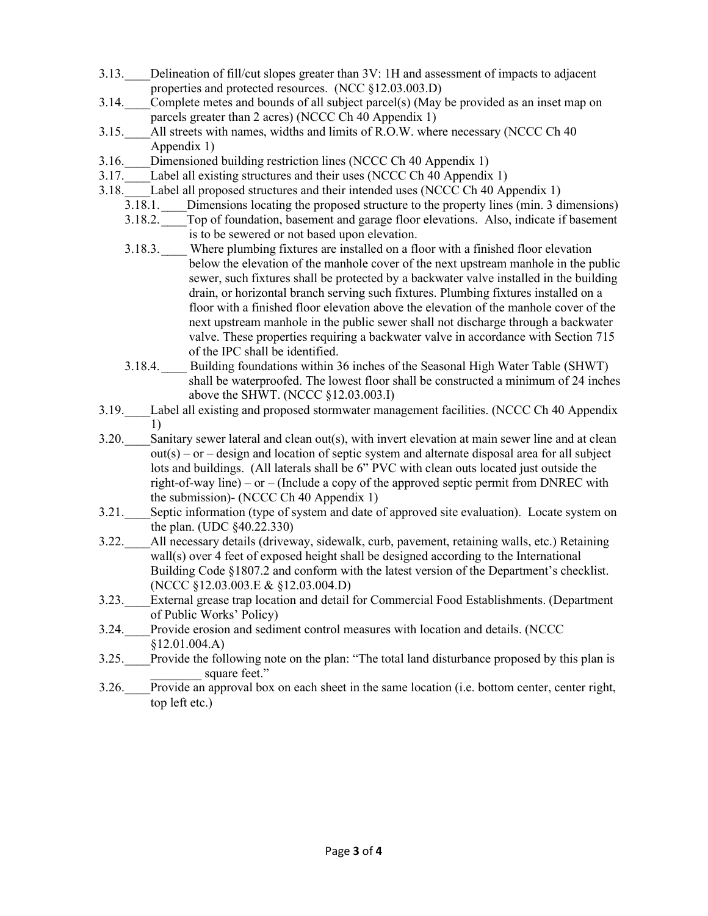- 3.13.\_\_\_\_Delineation of fill/cut slopes greater than 3V: 1H and assessment of impacts to adjacent properties and protected resources. (NCC §12.03.003.D)
- 3.14. Complete metes and bounds of all subject parcel(s) (May be provided as an inset map on parcels greater than 2 acres) (NCCC Ch 40 Appendix 1)
- 3.15. All streets with names, widths and limits of R.O.W. where necessary (NCCC Ch 40 Appendix 1)
- 3.16. Dimensioned building restriction lines (NCCC Ch 40 Appendix 1)<br>3.17. Label all existing structures and their uses (NCCC Ch 40 Appendix
- Label all existing structures and their uses (NCCC Ch 40 Appendix 1)
- 3.18. Label all proposed structures and their intended uses (NCCC Ch 40 Appendix 1)
	- 3.18.1. Dimensions locating the proposed structure to the property lines (min. 3 dimensions)
	- 3.18.2.\_\_\_\_Top of foundation, basement and garage floor elevations. Also, indicate if basement is to be sewered or not based upon elevation.
	- 3.18.3.\_\_\_\_ Where plumbing fixtures are installed on a floor with a finished floor elevation below the elevation of the manhole cover of the next upstream manhole in the public sewer, such fixtures shall be protected by a backwater valve installed in the building drain, or horizontal branch serving such fixtures. Plumbing fixtures installed on a floor with a finished floor elevation above the elevation of the manhole cover of the next upstream manhole in the public sewer shall not discharge through a backwater valve. These properties requiring a backwater valve in accordance with Section 715 of the IPC shall be identified.
	- 3.18.4.\_\_\_\_ Building foundations within 36 inches of the Seasonal High Water Table (SHWT) shall be waterproofed. The lowest floor shall be constructed a minimum of 24 inches above the SHWT. (NCCC §12.03.003.I)
- 3.19.\_\_\_\_Label all existing and proposed stormwater management facilities. (NCCC Ch 40 Appendix 1)
- $3.20.$  Sanitary sewer lateral and clean out(s), with invert elevation at main sewer line and at clean  $out(s) - or - design$  and location of septic system and alternate disposal area for all subject lots and buildings. (All laterals shall be 6" PVC with clean outs located just outside the right-of-way line) – or – (Include a copy of the approved septic permit from DNREC with the submission)- (NCCC Ch 40 Appendix 1)
- 3.21. Septic information (type of system and date of approved site evaluation). Locate system on the plan. (UDC §40.22.330)
- 3.22.\_\_\_\_All necessary details (driveway, sidewalk, curb, pavement, retaining walls, etc.) Retaining wall(s) over 4 feet of exposed height shall be designed according to the International Building Code §1807.2 and conform with the latest version of the Department's checklist. (NCCC §12.03.003.E & §12.03.004.D)
- 3.23.\_\_\_\_External grease trap location and detail for Commercial Food Establishments. (Department of Public Works' Policy)
- 3.24.\_\_\_\_Provide erosion and sediment control measures with location and details. (NCCC §12.01.004.A)
- 3.25.\_\_\_\_Provide the following note on the plan: "The total land disturbance proposed by this plan is square feet."
- 3.26.\_\_\_\_Provide an approval box on each sheet in the same location (i.e. bottom center, center right, top left etc.)